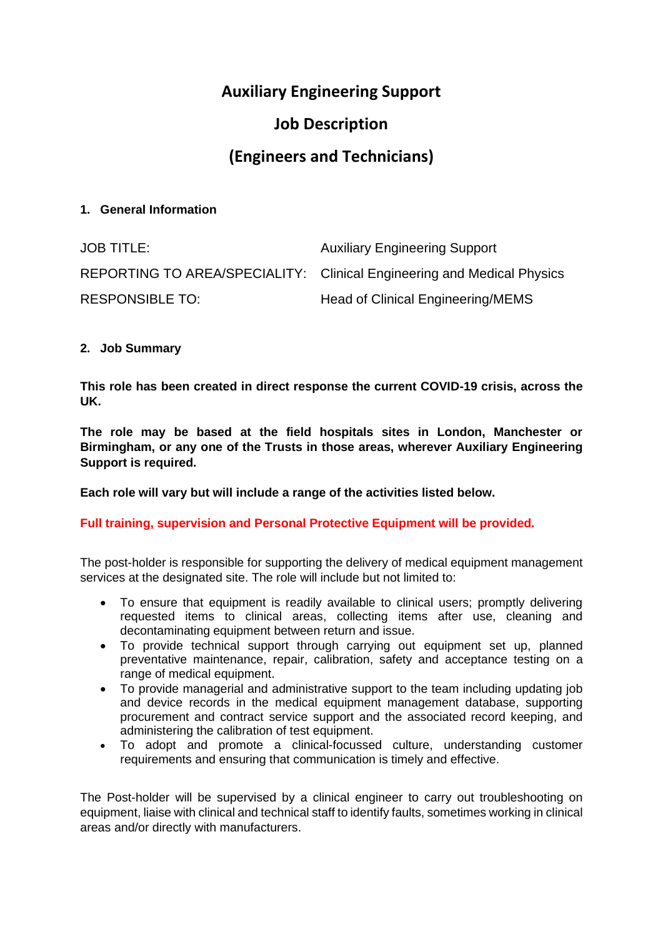# **Auxiliary Engineering Support**

## **Job Description**

## **(Engineers and Technicians)**

## **1. General Information**

| <b>JOB TITLE:</b>      | <b>Auxiliary Engineering Support</b>                                   |
|------------------------|------------------------------------------------------------------------|
|                        | REPORTING TO AREA/SPECIALITY: Clinical Engineering and Medical Physics |
| <b>RESPONSIBLE TO:</b> | Head of Clinical Engineering/MEMS                                      |

## **2. Job Summary**

**This role has been created in direct response the current COVID-19 crisis, across the UK.**

**The role may be based at the field hospitals sites in London, Manchester or Birmingham, or any one of the Trusts in those areas, wherever Auxiliary Engineering Support is required.**

**Each role will vary but will include a range of the activities listed below.**

## **Full training, supervision and Personal Protective Equipment will be provided.**

The post-holder is responsible for supporting the delivery of medical equipment management services at the designated site. The role will include but not limited to:

- To ensure that equipment is readily available to clinical users; promptly delivering requested items to clinical areas, collecting items after use, cleaning and decontaminating equipment between return and issue.
- To provide technical support through carrying out equipment set up, planned preventative maintenance, repair, calibration, safety and acceptance testing on a range of medical equipment.
- To provide managerial and administrative support to the team including updating job and device records in the medical equipment management database, supporting procurement and contract service support and the associated record keeping, and administering the calibration of test equipment.
- To adopt and promote a clinical-focussed culture, understanding customer requirements and ensuring that communication is timely and effective.

The Post-holder will be supervised by a clinical engineer to carry out troubleshooting on equipment, liaise with clinical and technical staff to identify faults, sometimes working in clinical areas and/or directly with manufacturers.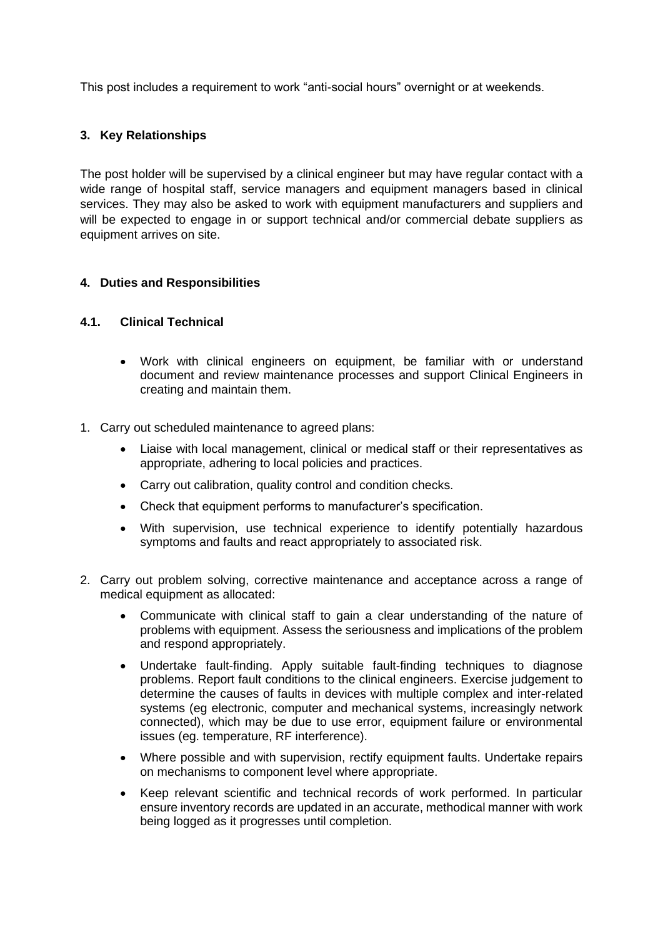This post includes a requirement to work "anti-social hours" overnight or at weekends.

## **3. Key Relationships**

The post holder will be supervised by a clinical engineer but may have regular contact with a wide range of hospital staff, service managers and equipment managers based in clinical services. They may also be asked to work with equipment manufacturers and suppliers and will be expected to engage in or support technical and/or commercial debate suppliers as equipment arrives on site.

## **4. Duties and Responsibilities**

#### **4.1. Clinical Technical**

- Work with clinical engineers on equipment, be familiar with or understand document and review maintenance processes and support Clinical Engineers in creating and maintain them.
- 1. Carry out scheduled maintenance to agreed plans:
	- Liaise with local management, clinical or medical staff or their representatives as appropriate, adhering to local policies and practices.
	- Carry out calibration, quality control and condition checks.
	- Check that equipment performs to manufacturer's specification.
	- With supervision, use technical experience to identify potentially hazardous symptoms and faults and react appropriately to associated risk.
- 2. Carry out problem solving, corrective maintenance and acceptance across a range of medical equipment as allocated:
	- Communicate with clinical staff to gain a clear understanding of the nature of problems with equipment. Assess the seriousness and implications of the problem and respond appropriately.
	- Undertake fault-finding. Apply suitable fault-finding techniques to diagnose problems. Report fault conditions to the clinical engineers. Exercise judgement to determine the causes of faults in devices with multiple complex and inter-related systems (eg electronic, computer and mechanical systems, increasingly network connected), which may be due to use error, equipment failure or environmental issues (eg. temperature, RF interference).
	- Where possible and with supervision, rectify equipment faults. Undertake repairs on mechanisms to component level where appropriate.
	- Keep relevant scientific and technical records of work performed. In particular ensure inventory records are updated in an accurate, methodical manner with work being logged as it progresses until completion.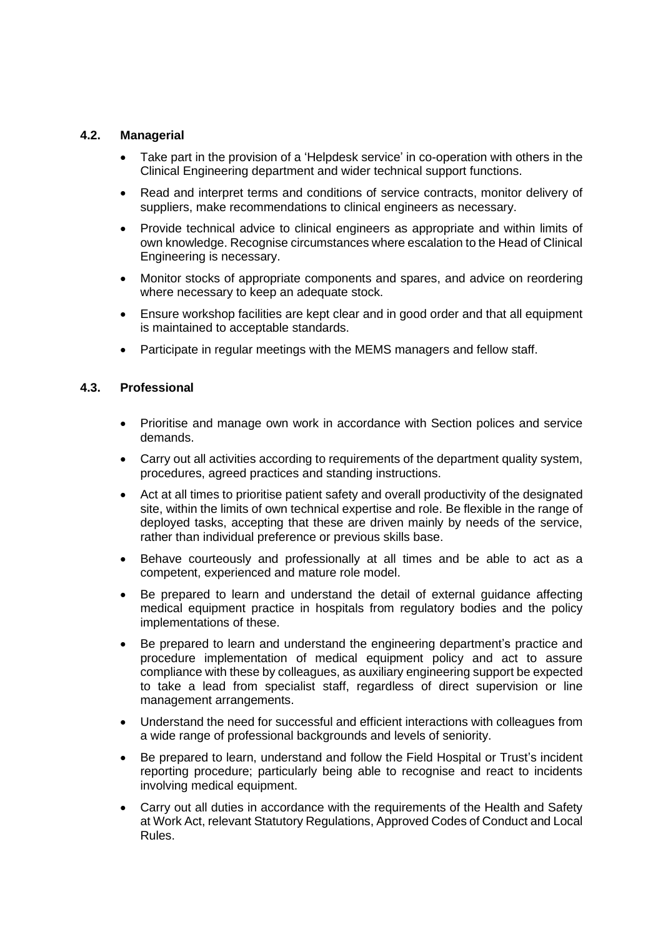## **4.2. Managerial**

- Take part in the provision of a 'Helpdesk service' in co-operation with others in the Clinical Engineering department and wider technical support functions.
- Read and interpret terms and conditions of service contracts, monitor delivery of suppliers, make recommendations to clinical engineers as necessary.
- Provide technical advice to clinical engineers as appropriate and within limits of own knowledge. Recognise circumstances where escalation to the Head of Clinical Engineering is necessary.
- Monitor stocks of appropriate components and spares, and advice on reordering where necessary to keep an adequate stock.
- Ensure workshop facilities are kept clear and in good order and that all equipment is maintained to acceptable standards.
- Participate in regular meetings with the MEMS managers and fellow staff.

#### **4.3. Professional**

- Prioritise and manage own work in accordance with Section polices and service demands.
- Carry out all activities according to requirements of the department quality system, procedures, agreed practices and standing instructions.
- Act at all times to prioritise patient safety and overall productivity of the designated site, within the limits of own technical expertise and role. Be flexible in the range of deployed tasks, accepting that these are driven mainly by needs of the service, rather than individual preference or previous skills base.
- Behave courteously and professionally at all times and be able to act as a competent, experienced and mature role model.
- Be prepared to learn and understand the detail of external guidance affecting medical equipment practice in hospitals from regulatory bodies and the policy implementations of these.
- Be prepared to learn and understand the engineering department's practice and procedure implementation of medical equipment policy and act to assure compliance with these by colleagues, as auxiliary engineering support be expected to take a lead from specialist staff, regardless of direct supervision or line management arrangements.
- Understand the need for successful and efficient interactions with colleagues from a wide range of professional backgrounds and levels of seniority.
- Be prepared to learn, understand and follow the Field Hospital or Trust's incident reporting procedure; particularly being able to recognise and react to incidents involving medical equipment.
- Carry out all duties in accordance with the requirements of the Health and Safety at Work Act, relevant Statutory Regulations, Approved Codes of Conduct and Local Rules.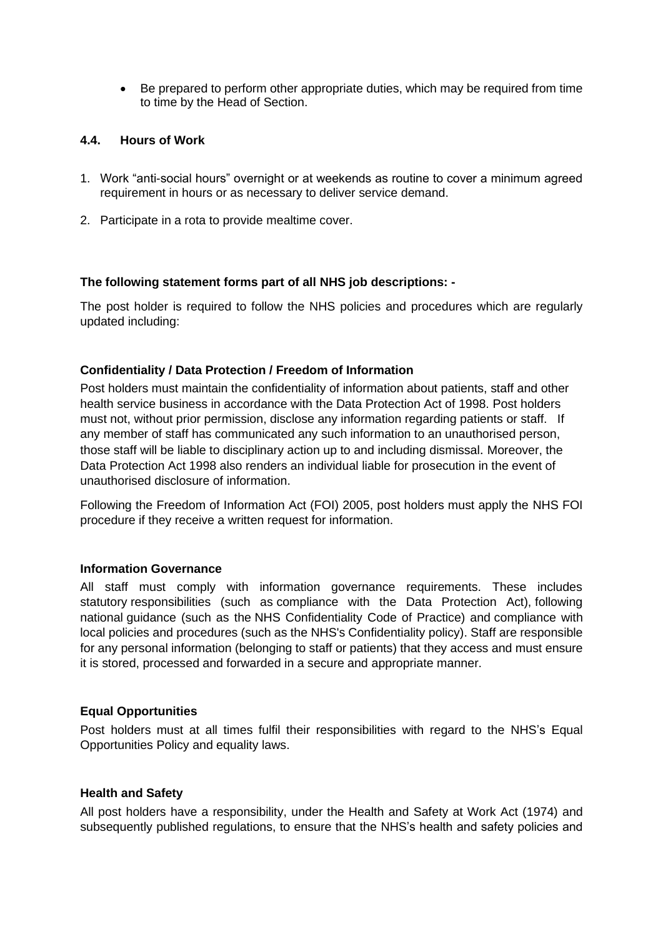• Be prepared to perform other appropriate duties, which may be required from time to time by the Head of Section.

## **4.4. Hours of Work**

- 1. Work "anti-social hours" overnight or at weekends as routine to cover a minimum agreed requirement in hours or as necessary to deliver service demand.
- 2. Participate in a rota to provide mealtime cover.

## **The following statement forms part of all NHS job descriptions: -**

The post holder is required to follow the NHS policies and procedures which are regularly updated including:

## **Confidentiality / Data Protection / Freedom of Information**

Post holders must maintain the confidentiality of information about patients, staff and other health service business in accordance with the Data Protection Act of 1998. Post holders must not, without prior permission, disclose any information regarding patients or staff. If any member of staff has communicated any such information to an unauthorised person, those staff will be liable to disciplinary action up to and including dismissal. Moreover, the Data Protection Act 1998 also renders an individual liable for prosecution in the event of unauthorised disclosure of information.

Following the Freedom of Information Act (FOI) 2005, post holders must apply the NHS FOI procedure if they receive a written request for information.

## **Information Governance**

All staff must comply with information governance requirements. These includes statutory responsibilities (such as compliance with the Data Protection Act), following national guidance (such as the NHS Confidentiality Code of Practice) and compliance with local policies and procedures (such as the NHS's Confidentiality policy). Staff are responsible for any personal information (belonging to staff or patients) that they access and must ensure it is stored, processed and forwarded in a secure and appropriate manner.

## **Equal Opportunities**

Post holders must at all times fulfil their responsibilities with regard to the NHS's Equal Opportunities Policy and equality laws.

## **Health and Safety**

All post holders have a responsibility, under the Health and Safety at Work Act (1974) and subsequently published regulations, to ensure that the NHS's health and safety policies and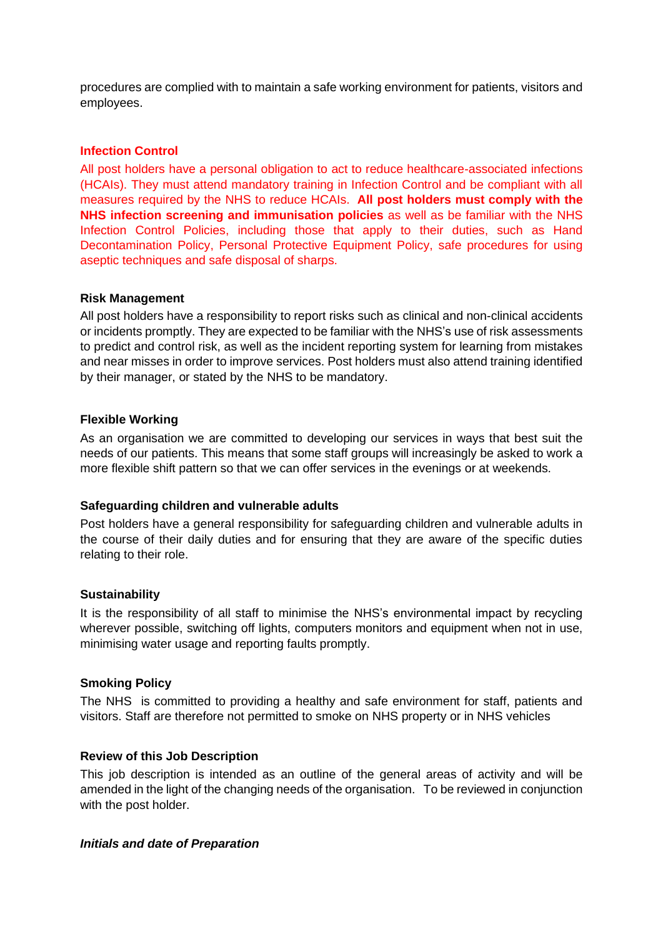procedures are complied with to maintain a safe working environment for patients, visitors and employees.

#### **Infection Control**

All post holders have a personal obligation to act to reduce healthcare-associated infections (HCAIs). They must attend mandatory training in Infection Control and be compliant with all measures required by the NHS to reduce HCAIs. **All post holders must comply with the NHS infection screening and immunisation policies** as well as be familiar with the NHS Infection Control Policies, including those that apply to their duties, such as Hand Decontamination Policy, Personal Protective Equipment Policy, safe procedures for using aseptic techniques and safe disposal of sharps.

#### **Risk Management**

All post holders have a responsibility to report risks such as clinical and non-clinical accidents or incidents promptly. They are expected to be familiar with the NHS's use of risk assessments to predict and control risk, as well as the incident reporting system for learning from mistakes and near misses in order to improve services. Post holders must also attend training identified by their manager, or stated by the NHS to be mandatory.

#### **Flexible Working**

As an organisation we are committed to developing our services in ways that best suit the needs of our patients. This means that some staff groups will increasingly be asked to work a more flexible shift pattern so that we can offer services in the evenings or at weekends.

## **Safeguarding children and vulnerable adults**

Post holders have a general responsibility for safeguarding children and vulnerable adults in the course of their daily duties and for ensuring that they are aware of the specific duties relating to their role.

## **Sustainability**

It is the responsibility of all staff to minimise the NHS's environmental impact by recycling wherever possible, switching off lights, computers monitors and equipment when not in use, minimising water usage and reporting faults promptly.

#### **Smoking Policy**

The NHS is committed to providing a healthy and safe environment for staff, patients and visitors. Staff are therefore not permitted to smoke on NHS property or in NHS vehicles

#### **Review of this Job Description**

This job description is intended as an outline of the general areas of activity and will be amended in the light of the changing needs of the organisation. To be reviewed in conjunction with the post holder.

#### *Initials and date of Preparation*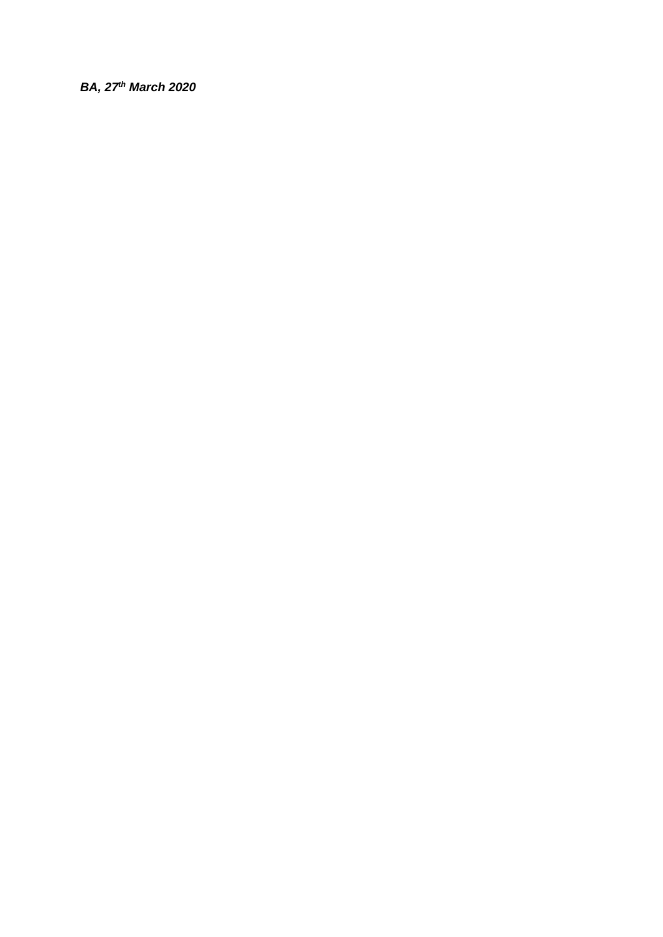## *BA, 27th March 2020*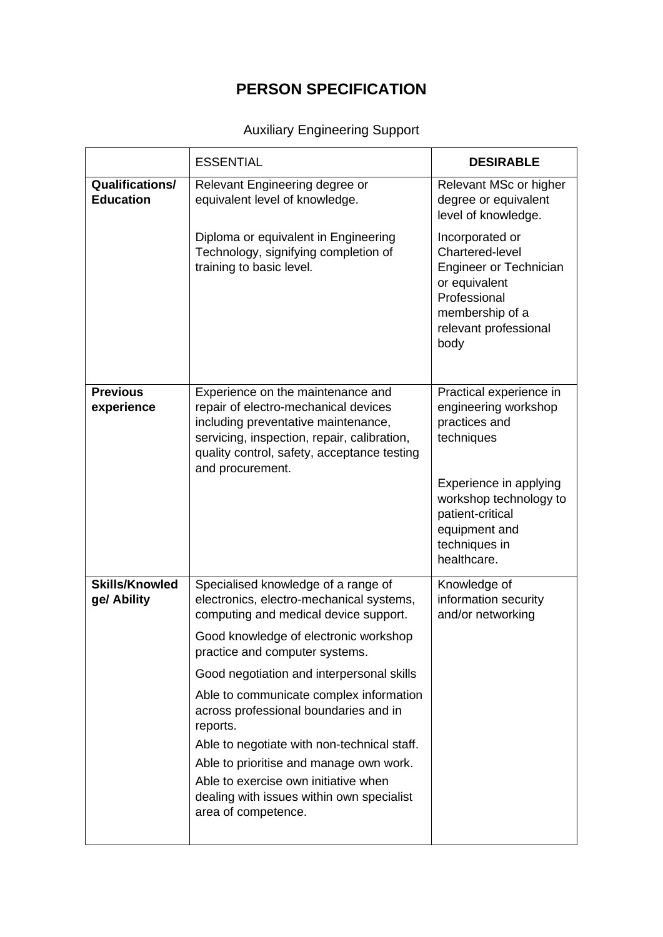# **PERSON SPECIFICATION**

# Auxiliary Engineering Support

|                                            | <b>ESSENTIAL</b>                                                                                                                                                                                                                   | <b>DESIRABLE</b>                                                                                                                                                                                        |
|--------------------------------------------|------------------------------------------------------------------------------------------------------------------------------------------------------------------------------------------------------------------------------------|---------------------------------------------------------------------------------------------------------------------------------------------------------------------------------------------------------|
| <b>Qualifications/</b><br><b>Education</b> | Relevant Engineering degree or<br>equivalent level of knowledge.                                                                                                                                                                   | Relevant MSc or higher<br>degree or equivalent<br>level of knowledge.                                                                                                                                   |
|                                            | Diploma or equivalent in Engineering<br>Technology, signifying completion of<br>training to basic level.                                                                                                                           | Incorporated or<br>Chartered-level<br>Engineer or Technician<br>or equivalent<br>Professional<br>membership of a<br>relevant professional<br>body                                                       |
| <b>Previous</b><br>experience              | Experience on the maintenance and<br>repair of electro-mechanical devices<br>including preventative maintenance,<br>servicing, inspection, repair, calibration,<br>quality control, safety, acceptance testing<br>and procurement. | Practical experience in<br>engineering workshop<br>practices and<br>techniques<br>Experience in applying<br>workshop technology to<br>patient-critical<br>equipment and<br>techniques in<br>healthcare. |
| <b>Skills/Knowled</b><br>ge/ Ability       | Specialised knowledge of a range of<br>electronics, electro-mechanical systems,<br>computing and medical device support.                                                                                                           | Knowledge of<br>information security<br>and/or networking                                                                                                                                               |
|                                            | Good knowledge of electronic workshop<br>practice and computer systems.                                                                                                                                                            |                                                                                                                                                                                                         |
|                                            | Good negotiation and interpersonal skills                                                                                                                                                                                          |                                                                                                                                                                                                         |
|                                            | Able to communicate complex information<br>across professional boundaries and in<br>reports.                                                                                                                                       |                                                                                                                                                                                                         |
|                                            | Able to negotiate with non-technical staff.                                                                                                                                                                                        |                                                                                                                                                                                                         |
|                                            | Able to prioritise and manage own work.<br>Able to exercise own initiative when                                                                                                                                                    |                                                                                                                                                                                                         |
|                                            | dealing with issues within own specialist<br>area of competence.                                                                                                                                                                   |                                                                                                                                                                                                         |
|                                            |                                                                                                                                                                                                                                    |                                                                                                                                                                                                         |